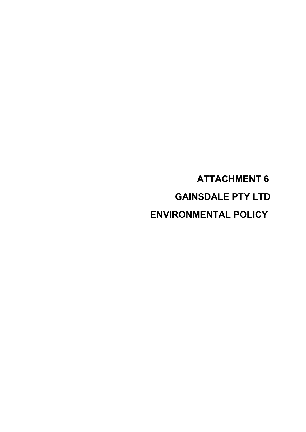**ATTACHMENT 6 GAINSDALE PTY LTD ENVIRONMENTAL POLICY**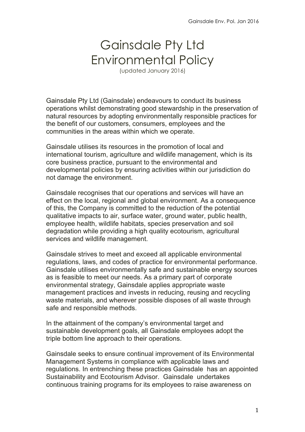# Gainsdale Pty Ltd Environmental Policy

(updated January 2016)

Gainsdale Pty Ltd (Gainsdale) endeavours to conduct its business operations whilst demonstrating good stewardship in the preservation of natural resources by adopting environmentally responsible practices for the benefit of our customers, consumers, employees and the communities in the areas within which we operate.

Gainsdale utilises its resources in the promotion of local and international tourism, agriculture and wildlife management, which is its core business practice, pursuant to the environmental and developmental policies by ensuring activities within our jurisdiction do not damage the environment.

Gainsdale recognises that our operations and services will have an effect on the local, regional and global environment. As a consequence of this, the Company is committed to the reduction of the potential qualitative impacts to air, surface water, ground water, public health, employee health, wildlife habitats, species preservation and soil degradation while providing a high quality ecotourism, agricultural services and wildlife management.

Gainsdale strives to meet and exceed all applicable environmental regulations, laws, and codes of practice for environmental performance. Gainsdale utilises environmentally safe and sustainable energy sources as is feasible to meet our needs. As a primary part of corporate environmental strategy, Gainsdale applies appropriate waste management practices and invests in reducing, reusing and recycling waste materials, and wherever possible disposes of all waste through safe and responsible methods.

In the attainment of the company's environmental target and sustainable development goals, all Gainsdale employees adopt the triple bottom line approach to their operations.

Gainsdale seeks to ensure continual improvement of its Environmental Management Systems in compliance with applicable laws and regulations. In entrenching these practices Gainsdale has an appointed Sustainability and Ecotourism Advisor. Gainsdale undertakes continuous training programs for its employees to raise awareness on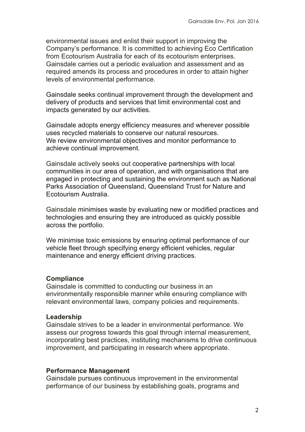environmental issues and enlist their support in improving the Company's performance. It is committed to achieving Eco Certification from Ecotourism Australia for each of its ecotourism enterprises. Gainsdale carries out a periodic evaluation and assessment and as required amends its process and procedures in order to attain higher levels of environmental performance.

Gainsdale seeks continual improvement through the development and delivery of products and services that limit environmental cost and impacts generated by our activities.

Gainsdale adopts energy efficiency measures and wherever possible uses recycled materials to conserve our natural resources. We review environmental objectives and monitor performance to achieve continual improvement.

Gainsdale actively seeks out cooperative partnerships with local communities in our area of operation, and with organisations that are engaged in protecting and sustaining the environment such as National Parks Association of Queensland, Queensland Trust for Nature and Ecotourism Australia.

Gainsdale minimises waste by evaluating new or modified practices and technologies and ensuring they are introduced as quickly possible across the portfolio.

We minimise toxic emissions by ensuring optimal performance of our vehicle fleet through specifying energy efficient vehicles, regular maintenance and energy efficient driving practices.

#### **Compliance**

Gainsdale is committed to conducting our business in an environmentally responsible manner while ensuring compliance with relevant environmental laws, company policies and requirements.

#### **Leadership**

Gainsdale strives to be a leader in environmental performance. We assess our progress towards this goal through internal measurement, incorporating best practices, instituting mechanisms to drive continuous improvement, and participating in research where appropriate.

#### **Performance Management**

Gainsdale pursues continuous improvement in the environmental performance of our business by establishing goals, programs and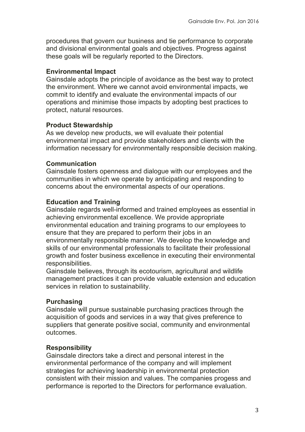procedures that govern our business and tie performance to corporate and divisional environmental goals and objectives. Progress against these goals will be regularly reported to the Directors.

# **Environmental Impact**

Gainsdale adopts the principle of avoidance as the best way to protect the environment. Where we cannot avoid environmental impacts, we commit to identify and evaluate the environmental impacts of our operations and minimise those impacts by adopting best practices to protect, natural resources.

## **Product Stewardship**

As we develop new products, we will evaluate their potential environmental impact and provide stakeholders and clients with the information necessary for environmentally responsible decision making.

## **Communication**

Gainsdale fosters openness and dialogue with our employees and the communities in which we operate by anticipating and responding to concerns about the environmental aspects of our operations.

# **Education and Training**

Gainsdale regards well-informed and trained employees as essential in achieving environmental excellence. We provide appropriate environmental education and training programs to our employees to ensure that they are prepared to perform their jobs in an environmentally responsible manner. We develop the knowledge and skills of our environmental professionals to facilitate their professional growth and foster business excellence in executing their environmental responsibilities.

Gainsdale believes, through its ecotourism, agricultural and wildlife management practices it can provide valuable extension and education services in relation to sustainability.

# **Purchasing**

Gainsdale will pursue sustainable purchasing practices through the acquisition of goods and services in a way that gives preference to suppliers that generate positive social, community and environmental outcomes.

# **Responsibility**

Gainsdale directors take a direct and personal interest in the environmental performance of the company and will implement strategies for achieving leadership in environmental protection consistent with their mission and values. The companies progess and performance is reported to the Directors for performance evaluation.